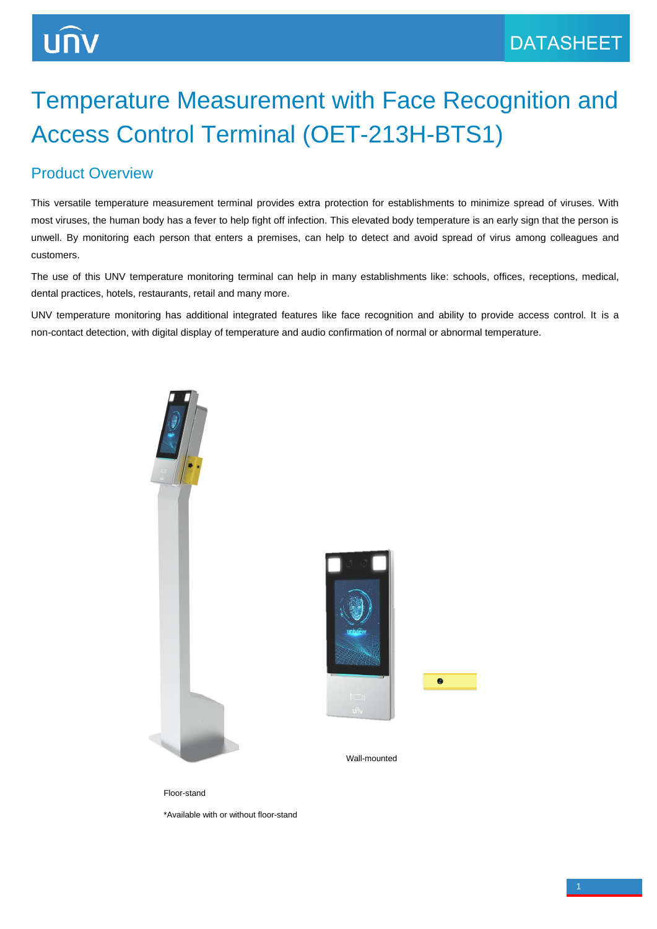# Temperature Measurement with Face Recognition and Access Control Terminal (OET-213H-BTS1)

#### Product Overview

This versatile temperature measurement terminal provides extra protection for establishments to minimize spread of viruses. With most viruses, the human body has a fever to help fight off infection. This elevated body temperature is an early sign that the person is unwell. By monitoring each person that enters a premises, can help to detect and avoid spread of virus among colleagues and customers.

The use of this UNV temperature monitoring terminal can help in many establishments like: schools, offices, receptions, medical, dental practices, hotels, restaurants, retail and many more.

UNV temperature monitoring has additional integrated features like face recognition and ability to provide access control. It is a non-contact detection, with digital display of temperature and audio confirmation of normal or abnormal temperature.







Wall-mounted

Floor-stand

\*Available with or without floor-stand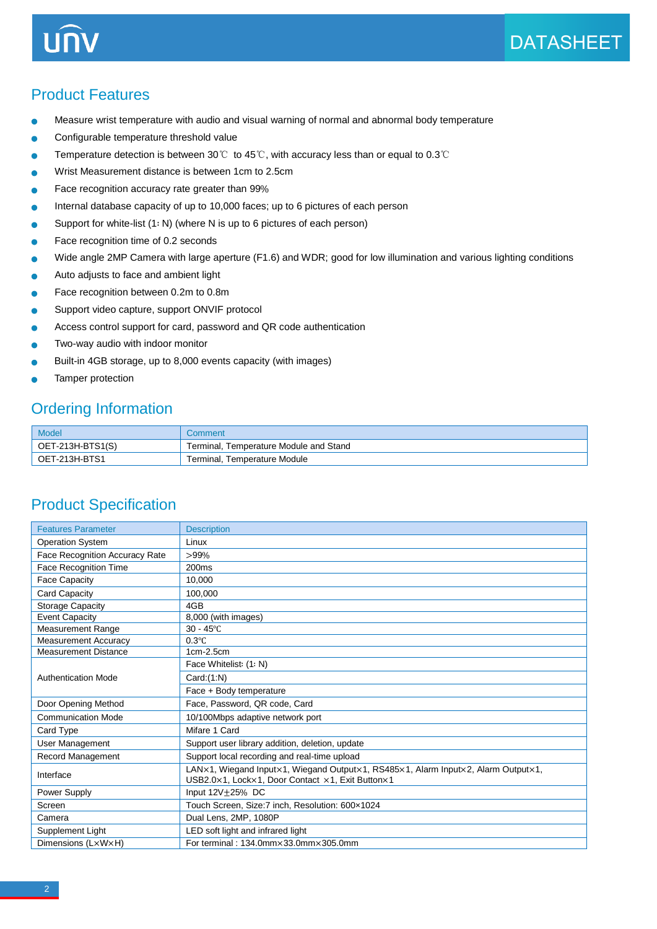UN

Product Features

- Measure wrist temperature with audio and visual warning of normal and abnormal body temperature
- Configurable temperature threshold value
- Temperature detection is between 30℃ to 45℃, with accuracy less than or equal to 0.3℃ ٠
- Wrist Measurement distance is between 1cm to 2.5cm
- Face recognition accuracy rate greater than 99  $\bullet$
- Internal database capacity of up to 10,000 faces; up to 6 pictures of each person
- Support for white-list  $(1: N)$  (where N is up to 6 pictures of each person)
- Face recognition time of 0.2 seconds
- Wide angle 2MP Camera with large aperture (F1.6) and WDR; good for low illumination and various lighting conditions ٠
- Auto adjusts to face and ambient light
- Face recognition between 0.2m to 0.8m
- Support video capture, support ONVIF protocol
- Access control support for card, password and QR code authentication
- Two-way audio with indoor monitor
- Built-in 4GB storage, up to 8,000 events capacity (with images)
- Tamper protection

#### Ordering Information

| Model              | Comment                                |
|--------------------|----------------------------------------|
| $OET-213H-BTS1(S)$ | Terminal, Temperature Module and Stand |
| OET-213H-BTS1      | Terminal, Temperature Module           |

#### Product Specification

| <b>Features Parameter</b>             | <b>Description</b>                                                                                                                    |
|---------------------------------------|---------------------------------------------------------------------------------------------------------------------------------------|
| <b>Operation System</b>               | Linux                                                                                                                                 |
| <b>Face Recognition Accuracy Rate</b> | $>99\%$                                                                                                                               |
| Face Recognition Time                 | 200 <sub>ms</sub>                                                                                                                     |
| <b>Face Capacity</b>                  | 10.000                                                                                                                                |
| Card Capacity                         | 100.000                                                                                                                               |
| <b>Storage Capacity</b>               | 4GB                                                                                                                                   |
| <b>Event Capacity</b>                 | 8,000 (with images)                                                                                                                   |
| <b>Measurement Range</b>              | $30 - 45^{\circ}$ C                                                                                                                   |
| <b>Measurement Accuracy</b>           | $0.3^{\circ}$ C                                                                                                                       |
| <b>Measurement Distance</b>           | $1cm-2.5cm$                                                                                                                           |
|                                       | Face Whitelist: (1: N)                                                                                                                |
| <b>Authentication Mode</b>            | Card:(1:N)                                                                                                                            |
|                                       | Face + Body temperature                                                                                                               |
| Door Opening Method                   | Face, Password, QR code, Card                                                                                                         |
| <b>Communication Mode</b>             | 10/100Mbps adaptive network port                                                                                                      |
| Card Type                             | Mifare 1 Card                                                                                                                         |
| User Management                       | Support user library addition, deletion, update                                                                                       |
| Record Management                     | Support local recording and real-time upload                                                                                          |
| Interface                             | LAN×1, Wiegand Input×1, Wiegand Output×1, RS485×1, Alarm Input×2, Alarm Output×1,<br>USB2.0×1, Lock×1, Door Contact ×1, Exit Button×1 |
| Power Supply                          | Input 12V+25% DC                                                                                                                      |
| Screen                                | Touch Screen, Size: 7 inch, Resolution: 600x1024                                                                                      |
| Camera                                | Dual Lens, 2MP, 1080P                                                                                                                 |
| Supplement Light                      | LED soft light and infrared light                                                                                                     |
| Dimensions (LxWxH)                    | For terminal: 134.0mm×33.0mm×305.0mm                                                                                                  |